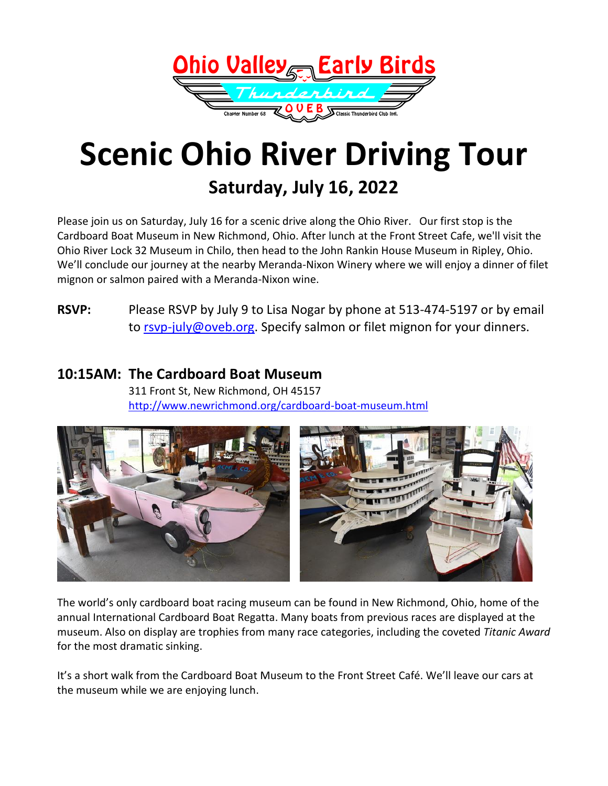

# **Scenic Ohio River Driving Tour Saturday, July 16, 2022**

Please join us on Saturday, July 16 for a scenic drive along the Ohio River. Our first stop is the Cardboard Boat Museum in New Richmond, Ohio. After lunch at the Front Street Cafe, we'll visit the Ohio River Lock 32 Museum in Chilo, then head to the John Rankin House Museum in Ripley, Ohio. We'll conclude our journey at the nearby Meranda-Nixon Winery where we will enjoy a dinner of filet mignon or salmon paired with a Meranda-Nixon wine.

### **RSVP:** Please RSVP by July 9 to Lisa Nogar by phone at 513-474-5197 or by email to [rsvp-july@oveb.org.](mailto:rsvp-july@oveb.org?subject=RSVP%20for%20Ohio%20River%20Scenic%20Driving%20Tour) Specify salmon or filet mignon for your dinners.

#### **10:15AM: The Cardboard Boat Museum**

311 Front St, New Richmond, OH 45157 <http://www.newrichmond.org/cardboard-boat-museum.html>



The world's only cardboard boat racing museum can be found in New Richmond, Ohio, home of the annual International Cardboard Boat Regatta. Many boats from previous races are displayed at the museum. Also on display are trophies from many race categories, including the coveted *Titanic Award* for the most dramatic sinking.

It's a short walk from the Cardboard Boat Museum to the Front Street Café. We'll leave our cars at the museum while we are enjoying lunch.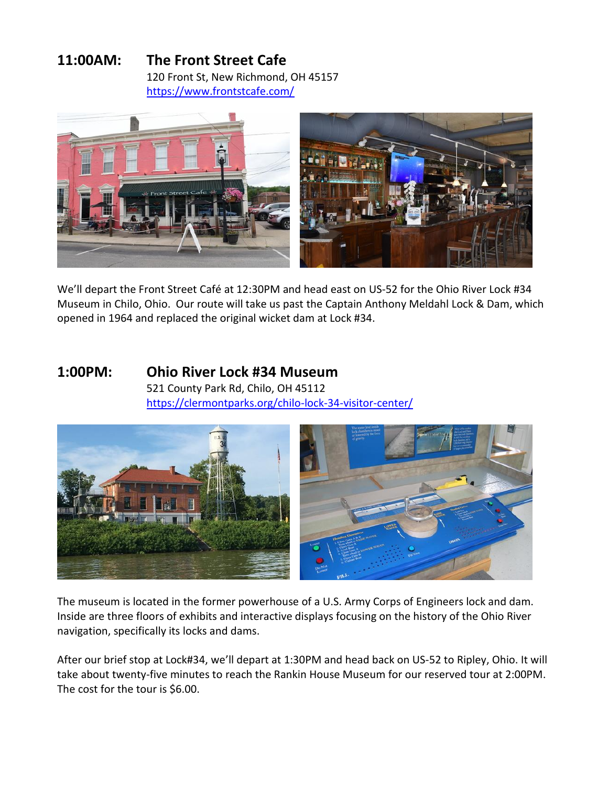## **11:00AM: The Front Street Cafe**

120 Front St, New Richmond, OH 45157 <https://www.frontstcafe.com/>



We'll depart the Front Street Café at 12:30PM and head east on US-52 for the Ohio River Lock #34 Museum in Chilo, Ohio. Our route will take us past the Captain Anthony Meldahl Lock & Dam, which opened in 1964 and replaced the original wicket dam at Lock #34.

#### **1:00PM: Ohio River Lock #34 Museum** 521 County Park Rd, Chilo, OH 45112

<https://clermontparks.org/chilo-lock-34-visitor-center/>



The museum is located in the former powerhouse of a U.S. Army Corps of Engineers lock and dam. Inside are three floors of exhibits and interactive displays focusing on the history of the Ohio River navigation, specifically its locks and dams.

After our brief stop at Lock#34, we'll depart at 1:30PM and head back on US-52 to Ripley, Ohio. It will take about twenty-five minutes to reach the Rankin House Museum for our reserved tour at 2:00PM. The cost for the tour is \$6.00.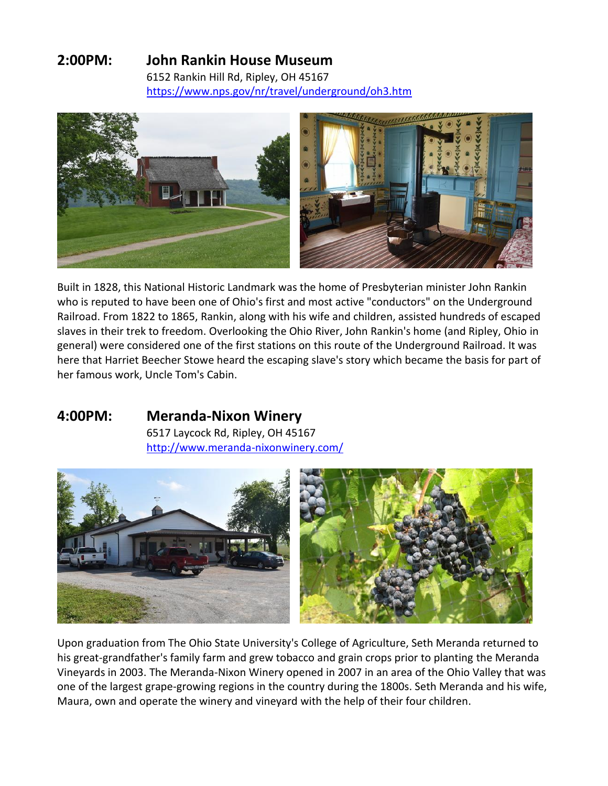## **2:00PM: John Rankin House Museum**

6152 Rankin Hill Rd, Ripley, OH 45167 <https://www.nps.gov/nr/travel/underground/oh3.htm>



Built in 1828, this National Historic Landmark was the home of Presbyterian minister John Rankin who is reputed to have been one of Ohio's first and most active "conductors" on the Underground Railroad. From 1822 to 1865, Rankin, along with his wife and children, assisted hundreds of escaped slaves in their trek to freedom. Overlooking the Ohio River, John Rankin's home (and Ripley, Ohio in general) were considered one of the first stations on this route of the Underground Railroad. It was here that Harriet Beecher Stowe heard the escaping slave's story which became the basis for part of her famous work, Uncle Tom's Cabin.

## **4:00PM: Meranda-Nixon Winery**

6517 Laycock Rd, Ripley, OH 45167 <http://www.meranda-nixonwinery.com/>



Upon graduation from The Ohio State University's College of Agriculture, Seth Meranda returned to his great-grandfather's family farm and grew tobacco and grain crops prior to planting the Meranda Vineyards in 2003. The Meranda-Nixon Winery opened in 2007 in an area of the Ohio Valley that was one of the largest grape-growing regions in the country during the 1800s. Seth Meranda and his wife, Maura, own and operate the winery and vineyard with the help of their four children.